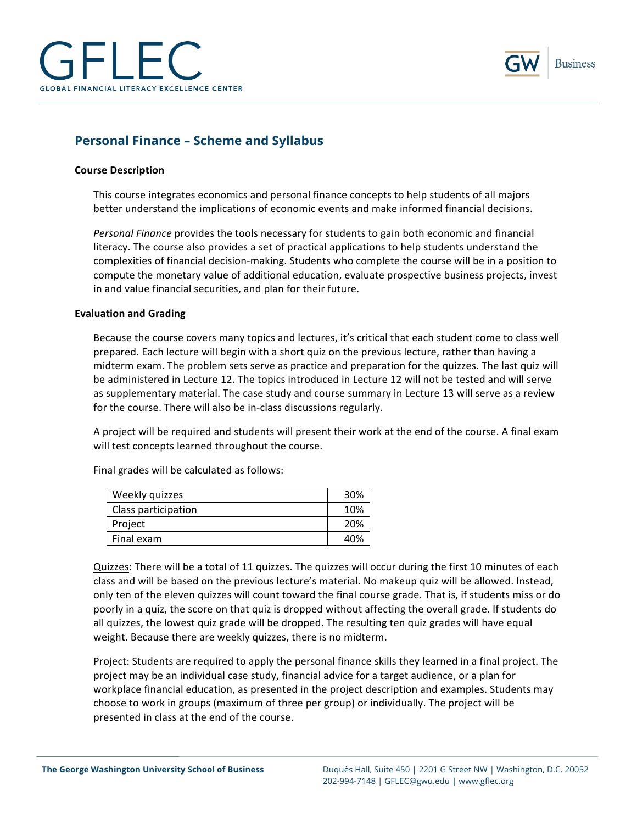



# **Personal Finance – Scheme and Syllabus**

### **Course Description**

This course integrates economics and personal finance concepts to help students of all majors better understand the implications of economic events and make informed financial decisions.

Personal Finance provides the tools necessary for students to gain both economic and financial literacy. The course also provides a set of practical applications to help students understand the complexities of financial decision-making. Students who complete the course will be in a position to compute the monetary value of additional education, evaluate prospective business projects, invest in and value financial securities, and plan for their future.

#### **Evaluation and Grading**

Because the course covers many topics and lectures, it's critical that each student come to class well prepared. Each lecture will begin with a short quiz on the previous lecture, rather than having a midterm exam. The problem sets serve as practice and preparation for the quizzes. The last quiz will be administered in Lecture 12. The topics introduced in Lecture 12 will not be tested and will serve as supplementary material. The case study and course summary in Lecture 13 will serve as a review for the course. There will also be in-class discussions regularly.

A project will be required and students will present their work at the end of the course. A final exam will test concepts learned throughout the course.

| Weekly quizzes      | 30% |
|---------------------|-----|
| Class participation | 10% |
| Project             | 20% |
| Final exam          | 40% |

Final grades will be calculated as follows:

Quizzes: There will be a total of 11 quizzes. The quizzes will occur during the first 10 minutes of each class and will be based on the previous lecture's material. No makeup quiz will be allowed. Instead, only ten of the eleven quizzes will count toward the final course grade. That is, if students miss or do poorly in a quiz, the score on that quiz is dropped without affecting the overall grade. If students do all quizzes, the lowest quiz grade will be dropped. The resulting ten quiz grades will have equal weight. Because there are weekly quizzes, there is no midterm.

Project: Students are required to apply the personal finance skills they learned in a final project. The project may be an individual case study, financial advice for a target audience, or a plan for workplace financial education, as presented in the project description and examples. Students may choose to work in groups (maximum of three per group) or individually. The project will be presented in class at the end of the course.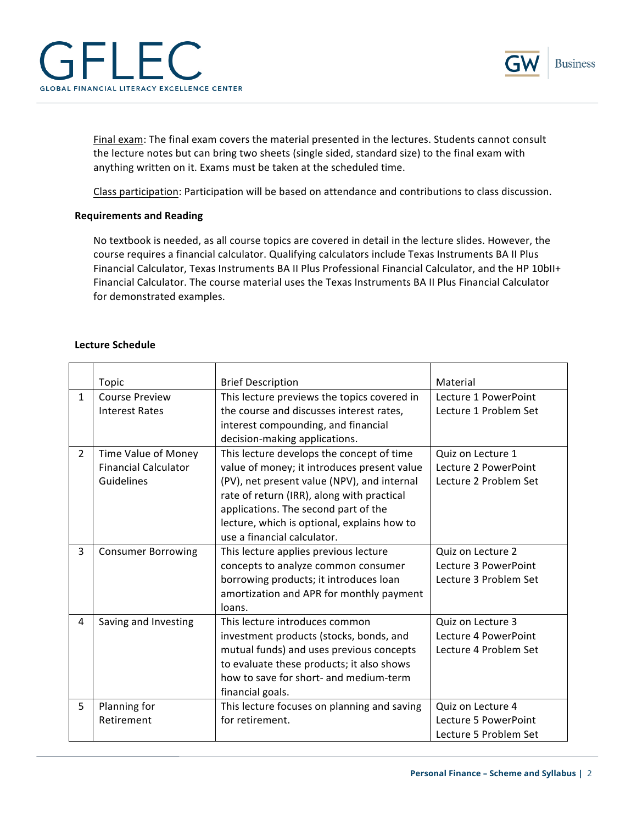



Final exam: The final exam covers the material presented in the lectures. Students cannot consult the lecture notes but can bring two sheets (single sided, standard size) to the final exam with anything written on it. Exams must be taken at the scheduled time.

Class participation: Participation will be based on attendance and contributions to class discussion.

# **Requirements and Reading**

No textbook is needed, as all course topics are covered in detail in the lecture slides. However, the course requires a financial calculator. Qualifying calculators include Texas Instruments BA II Plus Financial Calculator, Texas Instruments BA II Plus Professional Financial Calculator, and the HP 10bII+ Financial Calculator. The course material uses the Texas Instruments BA II Plus Financial Calculator for demonstrated examples.

## **Lecture Schedule**

|                | Topic                       | <b>Brief Description</b>                    | Material              |
|----------------|-----------------------------|---------------------------------------------|-----------------------|
| $\mathbf{1}$   | <b>Course Preview</b>       | This lecture previews the topics covered in | Lecture 1 PowerPoint  |
|                | Interest Rates              | the course and discusses interest rates,    | Lecture 1 Problem Set |
|                |                             | interest compounding, and financial         |                       |
|                |                             | decision-making applications.               |                       |
| $\overline{2}$ | Time Value of Money         | This lecture develops the concept of time   | Quiz on Lecture 1     |
|                | <b>Financial Calculator</b> | value of money; it introduces present value | Lecture 2 PowerPoint  |
|                | Guidelines                  | (PV), net present value (NPV), and internal | Lecture 2 Problem Set |
|                |                             | rate of return (IRR), along with practical  |                       |
|                |                             | applications. The second part of the        |                       |
|                |                             | lecture, which is optional, explains how to |                       |
|                |                             | use a financial calculator.                 |                       |
| 3              | <b>Consumer Borrowing</b>   | This lecture applies previous lecture       | Quiz on Lecture 2     |
|                |                             | concepts to analyze common consumer         | Lecture 3 PowerPoint  |
|                |                             | borrowing products; it introduces loan      | Lecture 3 Problem Set |
|                |                             | amortization and APR for monthly payment    |                       |
|                |                             | loans.                                      |                       |
| 4              | Saving and Investing        | This lecture introduces common              | Quiz on Lecture 3     |
|                |                             | investment products (stocks, bonds, and     | Lecture 4 PowerPoint  |
|                |                             | mutual funds) and uses previous concepts    | Lecture 4 Problem Set |
|                |                             | to evaluate these products; it also shows   |                       |
|                |                             | how to save for short- and medium-term      |                       |
|                |                             | financial goals.                            |                       |
| 5              | Planning for                | This lecture focuses on planning and saving | Quiz on Lecture 4     |
|                | Retirement                  | for retirement.                             | Lecture 5 PowerPoint  |
|                |                             |                                             | Lecture 5 Problem Set |